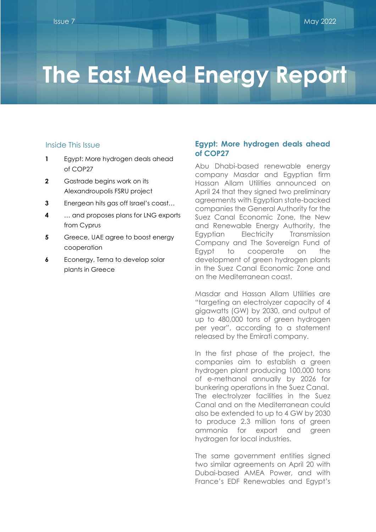# **The East Med Energy Report**

#### Inside This Issue

- **1** Egypt: More hydrogen deals ahead of COP27
- **2** Gastrade begins work on its Alexandroupolis FSRU project
- **3** Energean hits gas off Israel's coast…
- **4** … and proposes plans for LNG exports from Cyprus
- **5** Greece, UAE agree to boost energy cooperation
- **6** Econergy, Terna to develop solar plants in Greece

## **Egypt: More hydrogen deals ahead of COP27**

Abu Dhabi-based renewable energy company Masdar and Egyptian firm Hassan Allam Utilities announced on April 24 that they signed two preliminary agreements with Egyptian state-backed companies the General Authority for the Suez Canal Economic Zone, the New and Renewable Energy Authority, the Egyptian Electricity Transmission Company and The Sovereign Fund of Egypt to cooperate on the development of green hydrogen plants in the Suez Canal Economic Zone and on the Mediterranean coast.

Masdar and Hassan Allam Utilities are "targeting an electrolyzer capacity of 4 gigawatts (GW) by 2030, and output of up to 480,000 tons of green hydrogen per year", according to a statement released by the Emirati company.

In the first phase of the project, the companies aim to establish a green hydrogen plant producing 100,000 tons of e-methanol annually by 2026 for bunkering operations in the Suez Canal. The electrolyzer facilities in the Suez Canal and on the Mediterranean could also be extended to up to 4 GW by 2030 to produce 2.3 million tons of green ammonia for export and green hydrogen for local industries.

The same government entities signed two similar agreements on April 20 with Dubai-based AMEA Power, and with France's EDF Renewables and Egypt's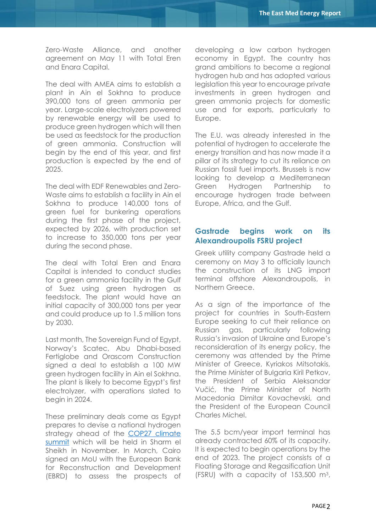Zero-Waste Alliance, and another agreement on May 11 with Total Eren and Enara Capital.

The deal with AMEA aims to establish a plant in Ain el Sokhna to produce 390,000 tons of green ammonia per year. Large-scale electrolyzers powered by renewable energy will be used to produce green hydrogen which will then be used as feedstock for the production of green ammonia. Construction will begin by the end of this year, and first production is expected by the end of 2025.

The deal with EDF Renewables and Zero-Waste aims to establish a facility in Ain el Sokhna to produce 140,000 tons of green fuel for bunkering operations during the first phase of the project, expected by 2026, with production set to increase to 350,000 tons per year during the second phase.

The deal with Total Eren and Enara Capital is intended to conduct studies for a green ammonia facility in the Gulf of Suez using green hydrogen as feedstock. The plant would have an initial capacity of 300,000 tons per year and could produce up to 1.5 million tons by 2030.

Last month, The Sovereign Fund of Egypt, Norway's Scatec, Abu Dhabi-based Fertiglobe and Orascom Construction signed a deal to establish a 100 MW green hydrogen facility in Ain el Sokhna. The plant is likely to become Egypt's first electrolyzer, with operations slated to begin in 2024.

These preliminary deals come as Egypt prepares to devise a national hydrogen strategy ahead of the COP27 [climate](https://mesp.me/wp-content/uploads/2021/12/The-East-Med-Energy-Report-Issue-2.pdf)  [summit](https://mesp.me/wp-content/uploads/2021/12/The-East-Med-Energy-Report-Issue-2.pdf) which will be held in Sharm el Sheikh in November. In March, Cairo signed an MoU with the European Bank for Reconstruction and Development (EBRD) to assess the prospects of

developing a low carbon hydrogen economy in Egypt. The country has grand ambitions to become a regional hydrogen hub and has adopted various legislation this year to encourage private investments in green hydrogen and green ammonia projects for domestic use and for exports, particularly to Europe.

The E.U. was already interested in the potential of hydrogen to accelerate the energy transition and has now made it a pillar of its strategy to cut its reliance on Russian fossil fuel imports. Brussels is now looking to develop a Mediterranean Green Hydrogen Partnership to encourage hydrogen trade between Europe, Africa, and the Gulf.

## **Gastrade begins work on its Alexandroupolis FSRU project**

Greek utility company Gastrade held a ceremony on May 3 to officially launch the construction of its LNG import terminal offshore Alexandroupolis, in Northern Greece.

As a sign of the importance of the project for countries in South-Eastern Europe seeking to cut their reliance on Russian gas, particularly following Russia's invasion of Ukraine and Europe's reconsideration of its energy policy, the ceremony was attended by the Prime Minister of Greece, Kyriakos Mitsotakis, the Prime Minister of Bulgaria Kiril Petkov, the President of Serbia Aleksandar Vučić, the Prime Minister of North Macedonia Dimitar Kovachevski, and the President of the European Council Charles Michel.

The 5.5 bcm/year import terminal has already contracted 60% of its capacity. It is expected to begin operations by the end of 2023. The project consists of a Floating Storage and Regasification Unit (FSRU) with a capacity of 153,500 m<sup>3</sup> ,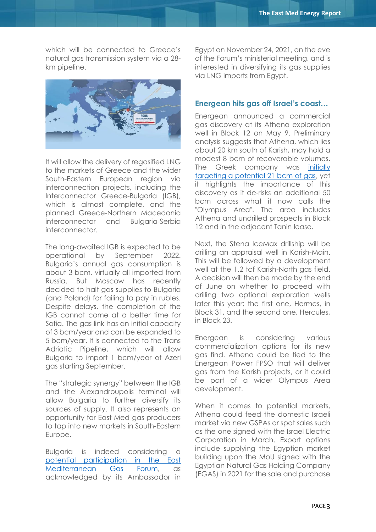which will be connected to Greece's natural gas transmission system via a 28 km pipeline.



It will allow the delivery of regasified LNG to the markets of Greece and the wider South-Eastern European region via interconnection projects, including the Interconnector Greece-Bulgaria (IGB), which is almost complete, and the planned Greece-Northern Macedonia interconnector and Bulgaria-Serbia interconnector.

The long-awaited IGB is expected to be operational by September 2022. Bulgaria's annual gas consumption is about 3 bcm, virtually all imported from Russia. But Moscow has recently decided to halt gas supplies to Bulgaria (and Poland) for failing to pay in rubles. Despite delays, the completion of the IGB cannot come at a better time for Sofia. The gas link has an initial capacity of 3 bcm/year and can be expanded to 5 bcm/year. It is connected to the Trans Adriatic Pipeline, which will allow Bulgaria to import 1 bcm/year of Azeri gas starting September.

The "strategic synergy" between the IGB and the Alexandroupolis terminal will allow Bulgaria to further diversify its sources of supply. It also represents an opportunity for East Med gas producers to tap into new markets in South-Eastern Europe.

Bulgaria is indeed considering a [potential participation in the East](https://mesp.me/wp-content/uploads/2021/12/The-East-Med-Energy-Report-Issue-2.pdf)  [Mediterranean Gas Forum,](https://mesp.me/wp-content/uploads/2021/12/The-East-Med-Energy-Report-Issue-2.pdf) as acknowledged by its Ambassador in

Egypt on November 24, 2021, on the eve of the Forum's ministerial meeting, and is interested in diversifying its gas supplies via LNG imports from Egypt.

## **Energean hits gas off Israel's coast…**

Energean announced a commercial gas discovery at its Athena exploration well in Block 12 on May 9. Preliminary analysis suggests that Athena, which lies about 20 km south of Karish, may hold a modest 8 bcm of recoverable volumes. The Greek company was [initially](https://www.mesp.me/wp-content/uploads/2022/04/The-East-Med-Energy-Report-Issue-6.pdf)  [targeting a potential 21 bcm of gas,](https://www.mesp.me/wp-content/uploads/2022/04/The-East-Med-Energy-Report-Issue-6.pdf) yet it highlights the importance of this discovery as it de-risks an additional 50 bcm across what it now calls the "Olympus Area". The area includes Athena and undrilled prospects in Block 12 and in the adjacent Tanin lease.

Next, the Stena IceMax drillship will be drilling an appraisal well in Karish-Main. This will be followed by a development well at the 1.2 tcf Karish-North gas field. A decision will then be made by the end of June on whether to proceed with drilling two optional exploration wells later this year: the first one, Hermes, in Block 31, and the second one, Hercules, in Block 23.

Energean is considering various commercialization options for its new gas find. Athena could be tied to the Energean Power FPSO that will deliver gas from the Karish projects, or it could be part of a wider Olympus Area development.

When it comes to potential markets. Athena could feed the domestic Israeli market via new GSPAs or spot sales such as the one signed with the Israel Electric Corporation in March. Export options include supplying the Egyptian market building upon the MoU signed with the Egyptian Natural Gas Holding Company (EGAS) in 2021 for the sale and purchase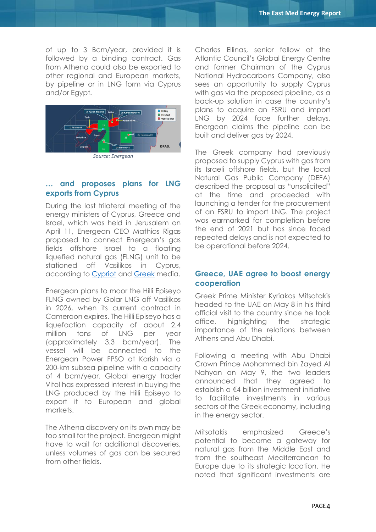of up to 3 Bcm/year, provided it is followed by a binding contract. Gas from Athena could also be exported to other regional and European markets, by pipeline or in LNG form via Cyprus and/or Egypt.



#### **… and proposes plans for LNG exports from Cyprus**

During the last trilateral meeting of the energy ministers of Cyprus, Greece and Israel, which was held in Jerusalem on April 11, Energean CEO Mathios Rigas proposed to connect Energean's gas fields offshore Israel to a floating liquefied natural gas (FLNG) unit to be stationed off Vasilikos in Cyprus, according to [Cypriot](https://cyprus-mail.com/2022/04/24/at-last-a-bankable-lng-project-for-cyprus/) and [Greek](https://www.tovima.gr/2022/04/12/international/the-plan-of-israel-cyprus-and-greece-for-lng-exports-to-europe/) media.

Energean plans to moor the Hilli Episeyo FLNG owned by Golar LNG off Vasilikos in 2026, when its current contract in Cameroon expires. The Hilli Episeyo has a liquefaction capacity of about 2.4 million tons of LNG per year (approximately 3.3 bcm/year). The vessel will be connected to the Energean Power FPSO at Karish via a 200-km subsea pipeline with a capacity of 4 bcm/year. Global energy trader Vitol has expressed interest in buying the LNG produced by the Hilli Episeyo to export it to European and global markets.

The Athena discovery on its own may be too small for the project. Energean might have to wait for additional discoveries, unless volumes of gas can be secured from other fields.

Charles Ellinas, senior fellow at the Atlantic Council's Global Energy Centre and former Chairman of the Cyprus National Hydrocarbons Company, also sees an opportunity to supply Cyprus with gas via the proposed pipeline, as a back-up solution in case the country's plans to acquire an FSRU and import LNG by 2024 face further delays. Energean claims the pipeline can be built and deliver gas by 2024.

The Greek company had previously proposed to supply Cyprus with gas from its Israeli offshore fields, but the local Natural Gas Public Company (DEFA) described the proposal as "unsolicited" at the time and proceeded with launching a tender for the procurement of an FSRU to import LNG. The project was earmarked for completion before the end of 2021 but has since faced repeated delays and is not expected to be operational before 2024.

## **Greece, UAE agree to boost energy cooperation**

Greek Prime Minister Kyriakos Mitsotakis headed to the UAE on May 8 in his third official visit to the country since he took office, highlighting the strategic importance of the relations between Athens and Abu Dhabi.

Following a meeting with Abu Dhabi Crown Prince Mohammed bin Zayed Al Nahyan on May 9, the two leaders announced that they agreed to establish a €4 billion investment initiative to facilitate investments in various sectors of the Greek economy, including in the energy sector.

Mitsotakis emphasized Greece's potential to become a gateway for natural gas from the Middle East and from the southeast Mediterranean to Europe due to its strategic location. He noted that significant investments are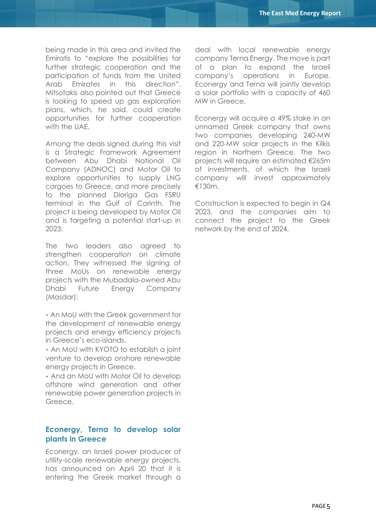being made in this area and invited the Emiratis to "explore the possibilities for further strategic cooperation and the participation of funds from the United Arab Emirates in this direction". Mitsotakis also pointed out that Greece is looking to speed up gas exploration plans, which, he said, could create opportunities for further cooperation with the UAE.

Among the deals signed during this visit is a Strategic Framework Agreement between Abu Dhabi National Oil Company (ADNOC) and Motor Oil to explore opportunities to supply LNG cargoes to Greece, and more precisely to the planned Dioriga Gas FSRU terminal in the Gulf of Corinth. The project is being developed by Motor Oil and is targeting a potential start-up in 2023.

The two leaders also agreed to strengthen cooperation on climate action. They witnessed the signing of three MoUs on renewable energy projects with the Mubadala-owned Abu Dhabi Future Energy Company (Masdar):

**-** An MoU with the Greek government for the development of renewable energy projects and energy efficiency projects in Greece's eco-islands.

**-** An MoU with KYOTO to establish a joint venture to develop onshore renewable energy projects in Greece.

**-** And an MoU with Motor Oil to develop offshore wind generation and other renewable power generation projects in Greece.

#### **Econergy, Terna to develop solar plants in Greece**

Econergy, an Israeli power producer of utility-scale renewable energy projects, has announced on April 20 that it is entering the Greek market through a

deal with local renewable energy company Terna Energy. The move is part of a plan to expand the Israeli company's operations in Europe. Econergy and Terna will jointly develop a solar portfolio with a capacity of 460 MW in Greece.

Econergy will acquire a 49% stake in an unnamed Greek company that owns two companies developing 240-MW and 220-MW solar projects in the Kilkis region in Northern Greece. The two projects will require an estimated €265m of investments, of which the Israeli company will invest approximately €130m.

Construction is expected to begin in Q4 2023, and the companies aim to connect the project to the Greek network by the end of 2024.